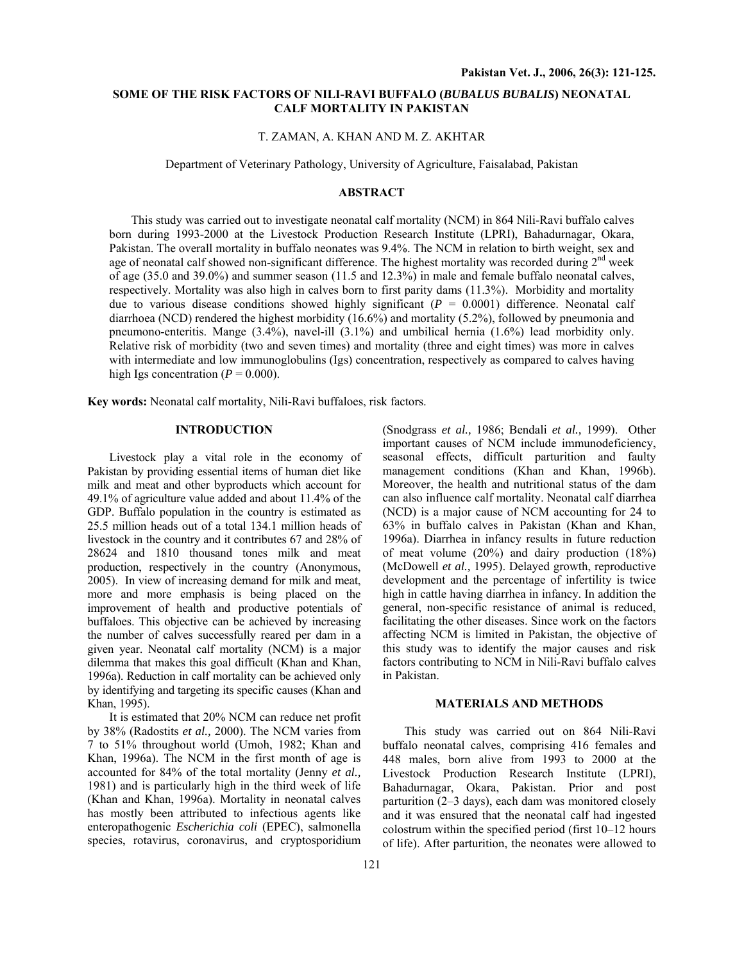# **SOME OF THE RISK FACTORS OF NILI-RAVI BUFFALO (***BUBALUS BUBALIS***) NEONATAL CALF MORTALITY IN PAKISTAN**

#### T. ZAMAN, A. KHAN AND M. Z. AKHTAR

Department of Veterinary Pathology, University of Agriculture, Faisalabad, Pakistan

### **ABSTRACT**

This study was carried out to investigate neonatal calf mortality (NCM) in 864 Nili-Ravi buffalo calves born during 1993-2000 at the Livestock Production Research Institute (LPRI), Bahadurnagar, Okara, Pakistan. The overall mortality in buffalo neonates was 9.4%. The NCM in relation to birth weight, sex and age of neonatal calf showed non-significant difference. The highest mortality was recorded during  $2<sup>nd</sup>$  week of age (35.0 and 39.0%) and summer season (11.5 and 12.3%) in male and female buffalo neonatal calves, respectively. Mortality was also high in calves born to first parity dams (11.3%). Morbidity and mortality due to various disease conditions showed highly significant  $(P = 0.0001)$  difference. Neonatal calf diarrhoea (NCD) rendered the highest morbidity (16.6%) and mortality (5.2%), followed by pneumonia and pneumono-enteritis. Mange (3.4%), navel-ill (3.1%) and umbilical hernia (1.6%) lead morbidity only. Relative risk of morbidity (two and seven times) and mortality (three and eight times) was more in calves with intermediate and low immunoglobulins (Igs) concentration, respectively as compared to calves having high Igs concentration  $(P = 0.000)$ .

**Key words:** Neonatal calf mortality, Nili-Ravi buffaloes, risk factors.

## **INTRODUCTION**

Livestock play a vital role in the economy of Pakistan by providing essential items of human diet like milk and meat and other byproducts which account for 49.1% of agriculture value added and about 11.4% of the GDP. Buffalo population in the country is estimated as 25.5 million heads out of a total 134.1 million heads of livestock in the country and it contributes 67 and 28% of 28624 and 1810 thousand tones milk and meat production, respectively in the country (Anonymous, 2005). In view of increasing demand for milk and meat, more and more emphasis is being placed on the improvement of health and productive potentials of buffaloes. This objective can be achieved by increasing the number of calves successfully reared per dam in a given year. Neonatal calf mortality (NCM) is a major dilemma that makes this goal difficult (Khan and Khan, 1996a). Reduction in calf mortality can be achieved only by identifying and targeting its specific causes (Khan and Khan, 1995).

It is estimated that 20% NCM can reduce net profit by 38% (Radostits *et al.,* 2000). The NCM varies from 7 to 51% throughout world (Umoh, 1982; Khan and Khan, 1996a). The NCM in the first month of age is accounted for 84% of the total mortality (Jenny *et al.,* 1981) and is particularly high in the third week of life (Khan and Khan, 1996a). Mortality in neonatal calves has mostly been attributed to infectious agents like enteropathogenic *Escherichia coli* (EPEC), salmonella species, rotavirus, coronavirus, and cryptosporidium

(Snodgrass *et al.,* 1986; Bendali *et al.,* 1999). Other important causes of NCM include immunodeficiency, seasonal effects, difficult parturition and faulty management conditions (Khan and Khan, 1996b). Moreover, the health and nutritional status of the dam can also influence calf mortality. Neonatal calf diarrhea (NCD) is a major cause of NCM accounting for 24 to 63% in buffalo calves in Pakistan (Khan and Khan, 1996a). Diarrhea in infancy results in future reduction of meat volume (20%) and dairy production (18%) (McDowell *et al.,* 1995). Delayed growth, reproductive development and the percentage of infertility is twice high in cattle having diarrhea in infancy. In addition the general, non-specific resistance of animal is reduced, facilitating the other diseases. Since work on the factors affecting NCM is limited in Pakistan, the objective of this study was to identify the major causes and risk factors contributing to NCM in Nili-Ravi buffalo calves in Pakistan.

### **MATERIALS AND METHODS**

This study was carried out on 864 Nili-Ravi buffalo neonatal calves, comprising 416 females and 448 males, born alive from 1993 to 2000 at the Livestock Production Research Institute (LPRI), Bahadurnagar, Okara, Pakistan. Prior and post parturition (2–3 days), each dam was monitored closely and it was ensured that the neonatal calf had ingested colostrum within the specified period (first 10–12 hours of life). After parturition, the neonates were allowed to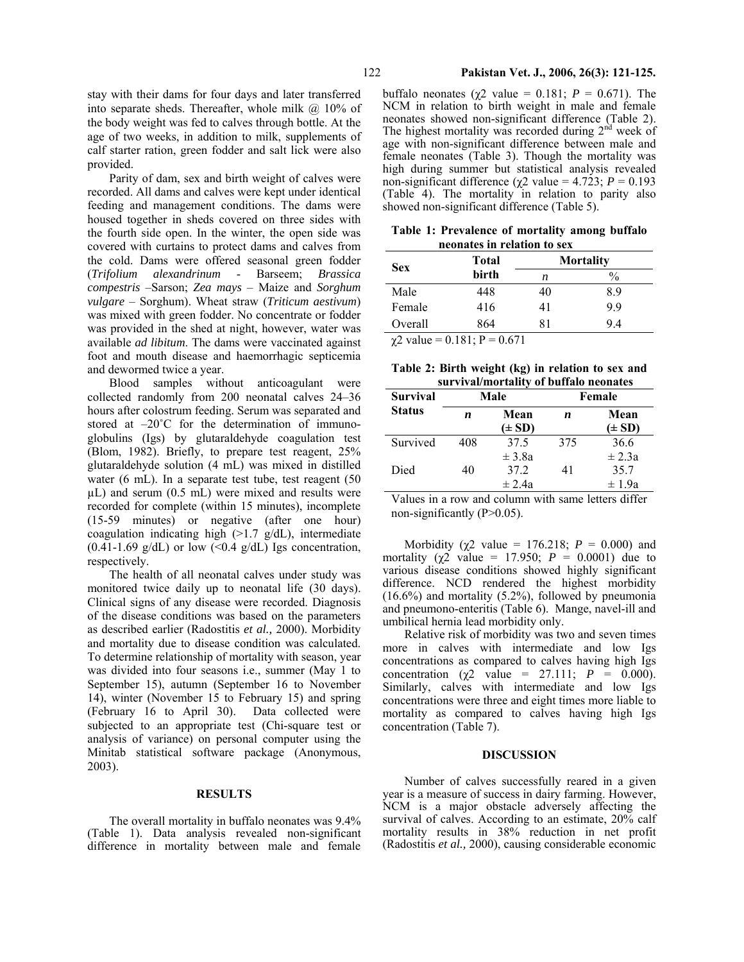stay with their dams for four days and later transferred into separate sheds. Thereafter, whole milk  $\omega$  10% of the body weight was fed to calves through bottle. At the age of two weeks, in addition to milk, supplements of calf starter ration, green fodder and salt lick were also provided.

Parity of dam, sex and birth weight of calves were recorded. All dams and calves were kept under identical feeding and management conditions. The dams were housed together in sheds covered on three sides with the fourth side open. In the winter, the open side was covered with curtains to protect dams and calves from the cold. Dams were offered seasonal green fodder (*Trifolium alexandrinum* - Barseem; *Brassica compestris* –Sarson; *Zea mays* – Maize and *Sorghum vulgare* – Sorghum). Wheat straw (*Triticum aestivum*) was mixed with green fodder. No concentrate or fodder was provided in the shed at night, however, water was available *ad libitum*. The dams were vaccinated against foot and mouth disease and haemorrhagic septicemia and dewormed twice a year.

Blood samples without anticoagulant were collected randomly from 200 neonatal calves 24–36 hours after colostrum feeding. Serum was separated and stored at  $-20^{\circ}$ C for the determination of immunoglobulins (Igs) by glutaraldehyde coagulation test (Blom, 1982). Briefly, to prepare test reagent, 25% glutaraldehyde solution (4 mL) was mixed in distilled water (6 mL). In a separate test tube, test reagent (50  $\mu$ L) and serum (0.5 mL) were mixed and results were recorded for complete (within 15 minutes), incomplete (15-59 minutes) or negative (after one hour) coagulation indicating high  $(>1.7 \text{ g/dL})$ , intermediate  $(0.41-1.69 \text{ g/dL})$  or low  $(<0.4 \text{ g/dL})$  Igs concentration, respectively.

The health of all neonatal calves under study was monitored twice daily up to neonatal life (30 days). Clinical signs of any disease were recorded. Diagnosis of the disease conditions was based on the parameters as described earlier (Radostitis *et al.,* 2000). Morbidity and mortality due to disease condition was calculated. To determine relationship of mortality with season, year was divided into four seasons *i.e.*, summer (May 1 to September 15), autumn (September 16 to November 14), winter (November 15 to February 15) and spring (February 16 to April 30). Data collected were subjected to an appropriate test (Chi-square test or analysis of variance) on personal computer using the Minitab statistical software package (Anonymous, 2003).

#### **RESULTS**

The overall mortality in buffalo neonates was 9.4% (Table 1). Data analysis revealed non-significant difference in mortality between male and female buffalo neonates (χ2 value = 0.181; *P* = 0.671). The NCM in relation to birth weight in male and female neonates showed non-significant difference (Table 2). The highest mortality was recorded during  $2<sup>nd</sup>$  week of age with non-significant difference between male and female neonates (Table 3). Though the mortality was high during summer but statistical analysis revealed non-significant difference ( $χ$ 2 value = 4.723;  $P = 0.193$ (Table 4). The mortality in relation to parity also showed non-significant difference (Table 5).

**Table 1: Prevalence of mortality among buffalo neonates in relation to sex** 

| <b>Sex</b> | Total |    | <b>Mortality</b> |
|------------|-------|----|------------------|
|            | birth | n  | $\frac{0}{0}$    |
| Male       | 448   | 40 | 8.9              |
| Female     | 416   | 41 | 9.9              |
| Overall    | 864   | 81 | 94               |

 $\chi$ <sup>2</sup> value = 0.181; P = 0.671

| Table 2: Birth weight (kg) in relation to sex and |  |  |  |  |
|---------------------------------------------------|--|--|--|--|
|                                                   |  |  |  |  |

| survival/mortality of buffalo neonates |     |            |        |            |  |  |  |  |
|----------------------------------------|-----|------------|--------|------------|--|--|--|--|
| <b>Survival</b>                        |     | Male       | Female |            |  |  |  |  |
| <b>Status</b>                          | n   | Mean       | n      | Mean       |  |  |  |  |
|                                        |     | $(\pm SD)$ |        | $(\pm SD)$ |  |  |  |  |
| Survived                               | 408 | 37.5       | 375    | 36.6       |  |  |  |  |
|                                        |     | $\pm$ 3.8a |        | $\pm 2.3a$ |  |  |  |  |
| Died                                   | 40  | 37.2       | 41     | 35.7       |  |  |  |  |
|                                        |     | $\pm 2.4a$ |        | $\pm 1.9a$ |  |  |  |  |

Values in a row and column with same letters differ non-significantly (P>0.05).

Morbidity ( $\chi$ 2 value = 176.218; *P* = 0.000) and mortality ( $\chi^2$  value = 17.950;  $P = 0.0001$ ) due to various disease conditions showed highly significant difference. NCD rendered the highest morbidity (16.6%) and mortality (5.2%), followed by pneumonia and pneumono-enteritis (Table 6). Mange, navel-ill and umbilical hernia lead morbidity only.

Relative risk of morbidity was two and seven times more in calves with intermediate and low Igs concentrations as compared to calves having high Igs concentration ( $\chi$ 2 value = 27.111; *P* = 0.000). Similarly, calves with intermediate and low Igs concentrations were three and eight times more liable to mortality as compared to calves having high Igs concentration (Table 7).

### **DISCUSSION**

Number of calves successfully reared in a given year is a measure of success in dairy farming. However, NCM is a major obstacle adversely affecting the survival of calves. According to an estimate, 20% calf mortality results in 38% reduction in net profit (Radostitis *et al.,* 2000), causing considerable economic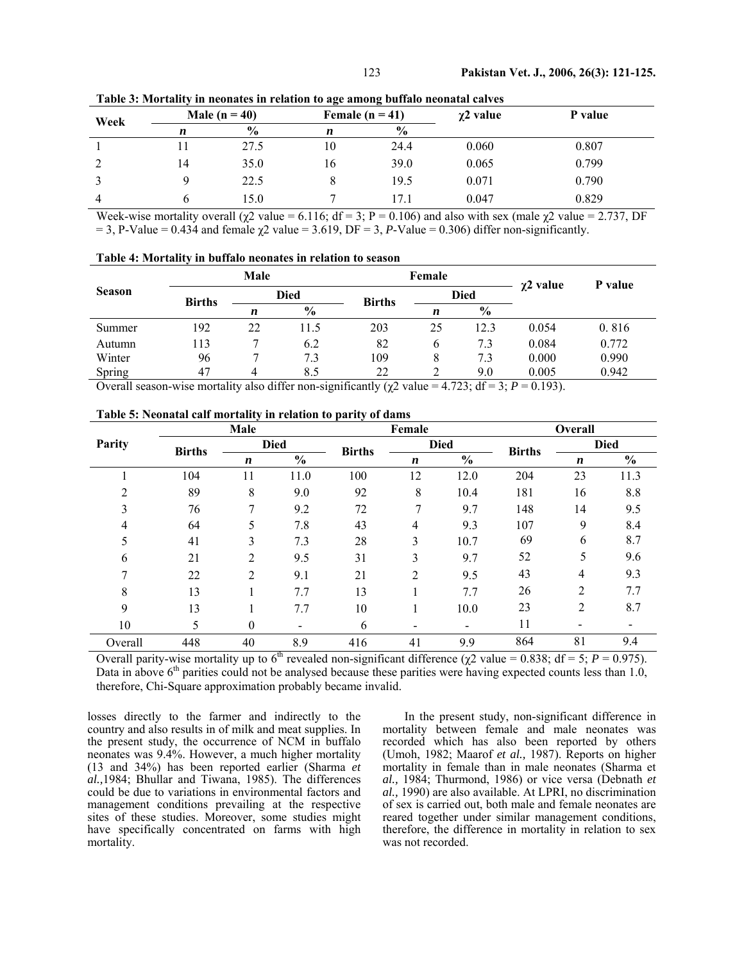| Week |    | Male ( $n = 40$ ) |    | Female $(n = 41)$ | $\chi$ 2 value | P value |  |
|------|----|-------------------|----|-------------------|----------------|---------|--|
|      | n  | $\frac{0}{0}$     | n  | $\frac{6}{9}$     |                |         |  |
|      |    | 27.5              | 10 | 24.4              | 0.060          | 0.807   |  |
| ∠    | 14 | 35.0              | 16 | 39.0              | 0.065          | 0.799   |  |
|      |    | 22.5              |    | 19.5              | 0.071          | 0.790   |  |
|      |    | 15.0              |    |                   | 0.047          | 0.829   |  |

**Table 3: Mortality in neonates in relation to age among buffalo neonatal calves** 

Week-wise mortality overall  $\sqrt{(x^2 \text{ value} = 6.116)}$ ; df = 3; P = 0.106) and also with sex (male  $\chi$ 2 value = 2.737, DF  $= 3$ , P-Value  $= 0.434$  and female  $\gamma$ 2 value  $= 3.619$ , DF  $= 3$ , P-Value  $= 0.306$ ) differ non-significantly.

|  |  | Table 4: Mortality in buffalo neonates in relation to season |
|--|--|--------------------------------------------------------------|
|--|--|--------------------------------------------------------------|

|               |               | Male        |               |                                                                                                                                                                                                                                                                                                                    | Female      | $\chi$ 2 value | P value |       |  |  |
|---------------|---------------|-------------|---------------|--------------------------------------------------------------------------------------------------------------------------------------------------------------------------------------------------------------------------------------------------------------------------------------------------------------------|-------------|----------------|---------|-------|--|--|
| <b>Season</b> | <b>Births</b> | <b>Died</b> |               | <b>Births</b>                                                                                                                                                                                                                                                                                                      | <b>Died</b> |                |         |       |  |  |
|               |               | n           | $\frac{0}{0}$ |                                                                                                                                                                                                                                                                                                                    | n           | $\frac{6}{9}$  |         |       |  |  |
| Summer        | 192           | 22          | 11.5          | 203                                                                                                                                                                                                                                                                                                                | 25          | 12.3           | 0.054   | 0.816 |  |  |
| Autumn        | 113           |             | 6.2           | 82                                                                                                                                                                                                                                                                                                                 | 6           | 7.3            | 0.084   | 0.772 |  |  |
| Winter        | 96            |             | 7.3           | 109                                                                                                                                                                                                                                                                                                                |             | 7.3            | 0.000   | 0.990 |  |  |
| Spring        | 47            |             | 8.5           | 22                                                                                                                                                                                                                                                                                                                 |             | 9.0            | 0.005   | 0.942 |  |  |
|               |               |             |               | $\bigcap_{i=1}^{n}$ 11 $\bigcup_{i=1}^{n}$ 1 $\bigcap_{i=1}^{n}$ 1 $\bigcap_{i=1}^{n}$ 1 $\bigcap_{i=1}^{n}$ 1 $\bigcap_{i=1}^{n}$ 1 $\bigcap_{i=1}^{n}$ 1 $\bigcap_{i=1}^{n}$ 1 $\bigcap_{i=1}^{n}$ 1 $\bigcap_{i=1}^{n}$ 1 $\bigcap_{i=1}^{n}$ 1 $\bigcap_{i=1}^{n}$ 1 $\bigcap_{i=1}^{n}$ 1 $\bigcap_{i=1}^{n}$ |             |                |         |       |  |  |

Overall season-wise mortality also differ non-significantly ( $χ$ 2 value = 4.723; df = 3;  $P$  = 0.193).

|                |               | Male             |               |               | Female           |               |               | Overall        |               |  |
|----------------|---------------|------------------|---------------|---------------|------------------|---------------|---------------|----------------|---------------|--|
| Parity         | <b>Births</b> |                  | <b>Died</b>   |               |                  | <b>Died</b>   | <b>Births</b> | <b>Died</b>    |               |  |
|                |               | $\boldsymbol{n}$ | $\frac{0}{0}$ | <b>Births</b> | $\boldsymbol{n}$ | $\frac{0}{0}$ |               | n              | $\frac{6}{9}$ |  |
|                | 104           | 11               | 11.0          | 100           | 12               | 12.0          | 204           | 23             | 11.3          |  |
| 2              | 89            | 8                | 9.0           | 92            | 8                | 10.4          | 181           | 16             | 8.8           |  |
| 3              | 76            | 7                | 9.2           | 72            | 7                | 9.7           | 148           | 14             | 9.5           |  |
| $\overline{4}$ | 64            | 5                | 7.8           | 43            | 4                | 9.3           | 107           | 9              | 8.4           |  |
| 5              | 41            | 3                | 7.3           | 28            | 3                | 10.7          | 69            | 6              | 8.7           |  |
| 6              | 21            | 2                | 9.5           | 31            | 3                | 9.7           | 52            | 5              | 9.6           |  |
| 7              | 22            | $\mathfrak{D}$   | 9.1           | 21            | $\overline{2}$   | 9.5           | 43            | 4              | 9.3           |  |
| 8              | 13            |                  | 7.7           | 13            |                  | 7.7           | 26            | $\overline{2}$ | 7.7           |  |
| 9              | 13            |                  | 7.7           | 10            |                  | 10.0          | 23            | 2              | 8.7           |  |
| 10             |               | $\theta$         |               | 6             |                  |               | 11            |                |               |  |
| Overall        | 448           | 40               | 8.9           | 416           | 41               | 9.9           | 864           | 81             | 9.4           |  |

**Table 5: Neonatal calf mortality in relation to parity of dams** 

Overall parity-wise mortality up to 6<sup>th</sup> revealed non-significant difference (χ2 value = 0.838; df = 5; *P* = 0.975). Data in above  $6<sup>th</sup>$  parities could not be analysed because these parities were having expected counts less than 1.0, therefore, Chi-Square approximation probably became invalid.

losses directly to the farmer and indirectly to the country and also results in of milk and meat supplies. In the present study, the occurrence of NCM in buffalo neonates was 9.4%. However, a much higher mortality (13 and 34%) has been reported earlier (Sharma *et al.,*1984; Bhullar and Tiwana, 1985). The differences could be due to variations in environmental factors and management conditions prevailing at the respective sites of these studies. Moreover, some studies might have specifically concentrated on farms with high mortality.

In the present study, non-significant difference in mortality between female and male neonates was recorded which has also been reported by others (Umoh, 1982; Maarof *et al.,* 1987). Reports on higher mortality in female than in male neonates (Sharma et *al.,* 1984; Thurmond, 1986) or vice versa (Debnath *et al.,* 1990) are also available. At LPRI, no discrimination of sex is carried out, both male and female neonates are reared together under similar management conditions, therefore, the difference in mortality in relation to sex was not recorded.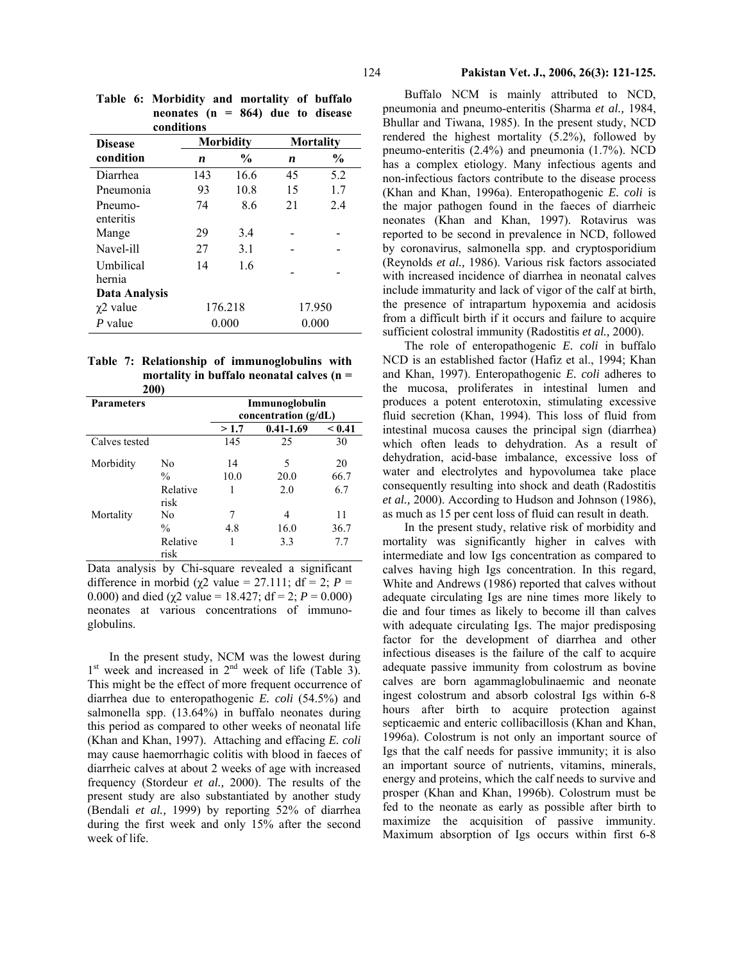| conditions           |     |                  |                  |               |  |
|----------------------|-----|------------------|------------------|---------------|--|
| <b>Disease</b>       |     | <b>Morbidity</b> | <b>Mortality</b> |               |  |
| condition            | n   | $\frac{6}{9}$    | n                | $\frac{0}{0}$ |  |
| Diarrhea             | 143 | 16.6             | 45               | 5.2           |  |
| Pneumonia            | 93  | 10.8             | 15               | 1.7           |  |
| Pneumo-<br>enteritis | 74  | 8.6              | 21               | 24            |  |
| Mange                | 29  | 3.4              |                  |               |  |
| Navel-ill            | 27  | 31               |                  |               |  |
| Umbilical<br>hernia  | 14  | 16               |                  |               |  |
| Data Analysis        |     |                  |                  |               |  |
| $\chi$ 2 value       |     | 176.218          | 17.950           |               |  |
| P value              |     | 0.000            |                  | 0.000         |  |

**Table 6: Morbidity and mortality of buffalo neonates (n = 864) due to disease conditions** 

|  | Table 7: Relationship of immunoglobulins with |
|--|-----------------------------------------------|
|  | mortality in buffalo neonatal calves $(n =$   |
|  | <b>200)</b>                                   |

|                   | 4 U U J          |                |                        |        |  |  |
|-------------------|------------------|----------------|------------------------|--------|--|--|
| <b>Parameters</b> |                  | Immunoglobulin |                        |        |  |  |
|                   |                  |                | concentration $(g/dL)$ |        |  |  |
|                   |                  | >1.7           | $0.41 - 1.69$          | < 0.41 |  |  |
| Calves tested     |                  | 145            | 25                     | 30     |  |  |
| Morbidity         | No               | 14             | 5                      | 20     |  |  |
|                   | $\frac{0}{0}$    | 10.0           | 20.0                   | 66.7   |  |  |
|                   | Relative<br>risk | 1              | 2.0                    | 6.7    |  |  |
| Mortality         | No               | 7              | 4                      | 11     |  |  |
|                   | $\frac{0}{0}$    | 4.8            | 16.0                   | 36.7   |  |  |
|                   | Relative<br>risk |                | 3.3                    | 7.7    |  |  |

Data analysis by Chi-square revealed a significant difference in morbid ( $\chi$ 2 value = 27.111; df = 2; *P* = 0.000) and died ( $\gamma$ 2 value = 18.427; df = 2; *P* = 0.000) neonates at various concentrations of immunoglobulins.

In the present study, NCM was the lowest during  $1<sup>st</sup>$  week and increased in  $2<sup>nd</sup>$  week of life (Table 3). This might be the effect of more frequent occurrence of diarrhea due to enteropathogenic *E. coli* (54.5%) and salmonella spp. (13.64%) in buffalo neonates during this period as compared to other weeks of neonatal life (Khan and Khan, 1997). Attaching and effacing *E. coli* may cause haemorrhagic colitis with blood in faeces of diarrheic calves at about 2 weeks of age with increased frequency (Stordeur *et al.,* 2000). The results of the present study are also substantiated by another study (Bendali *et al.,* 1999) by reporting 52% of diarrhea during the first week and only 15% after the second week of life.

Buffalo NCM is mainly attributed to NCD, pneumonia and pneumo-enteritis (Sharma *et al.,* 1984, Bhullar and Tiwana, 1985). In the present study, NCD rendered the highest mortality (5.2%), followed by pneumo-enteritis (2.4%) and pneumonia (1.7%). NCD has a complex etiology. Many infectious agents and non-infectious factors contribute to the disease process (Khan and Khan, 1996a). Enteropathogenic *E. coli* is the major pathogen found in the faeces of diarrheic neonates (Khan and Khan, 1997). Rotavirus was reported to be second in prevalence in NCD, followed by coronavirus, salmonella spp. and cryptosporidium (Reynolds *et al.,* 1986). Various risk factors associated with increased incidence of diarrhea in neonatal calves include immaturity and lack of vigor of the calf at birth, the presence of intrapartum hypoxemia and acidosis from a difficult birth if it occurs and failure to acquire sufficient colostral immunity (Radostitis *et al.,* 2000).

The role of enteropathogenic *E. coli* in buffalo NCD is an established factor (Hafiz et al., 1994; Khan and Khan, 1997). Enteropathogenic *E. coli* adheres to the mucosa, proliferates in intestinal lumen and produces a potent enterotoxin, stimulating excessive fluid secretion (Khan, 1994). This loss of fluid from intestinal mucosa causes the principal sign (diarrhea) which often leads to dehydration. As a result of dehydration, acid-base imbalance, excessive loss of water and electrolytes and hypovolumea take place consequently resulting into shock and death (Radostitis *et al.,* 2000). According to Hudson and Johnson (1986), as much as 15 per cent loss of fluid can result in death.

In the present study, relative risk of morbidity and mortality was significantly higher in calves with intermediate and low Igs concentration as compared to calves having high Igs concentration. In this regard, White and Andrews (1986) reported that calves without adequate circulating Igs are nine times more likely to die and four times as likely to become ill than calves with adequate circulating Igs. The major predisposing factor for the development of diarrhea and other infectious diseases is the failure of the calf to acquire adequate passive immunity from colostrum as bovine calves are born agammaglobulinaemic and neonate ingest colostrum and absorb colostral Igs within 6-8 hours after birth to acquire protection against septicaemic and enteric collibacillosis (Khan and Khan, 1996a). Colostrum is not only an important source of Igs that the calf needs for passive immunity; it is also an important source of nutrients, vitamins, minerals, energy and proteins, which the calf needs to survive and prosper (Khan and Khan, 1996b). Colostrum must be fed to the neonate as early as possible after birth to maximize the acquisition of passive immunity. Maximum absorption of Igs occurs within first 6-8